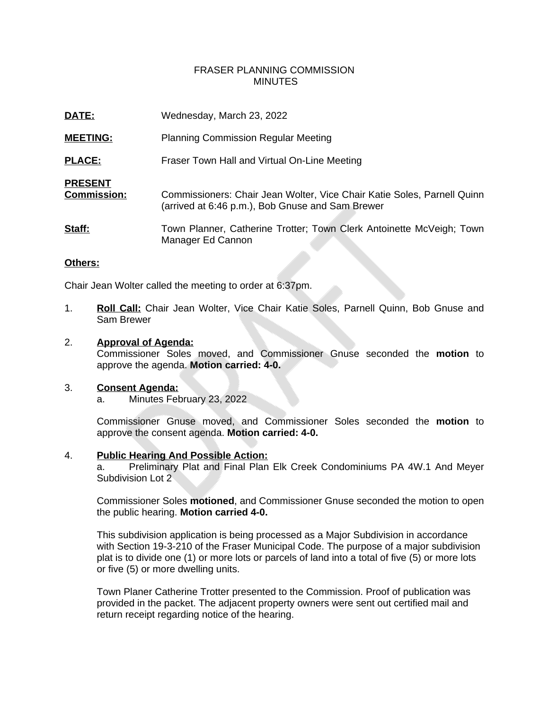# FRASER PLANNING COMMISSION **MINUTES**

| DATE:                                | Wednesday, March 23, 2022                                                                                                   |
|--------------------------------------|-----------------------------------------------------------------------------------------------------------------------------|
| <b>MEETING:</b>                      | <b>Planning Commission Regular Meeting</b>                                                                                  |
| <b>PLACE:</b>                        | Fraser Town Hall and Virtual On-Line Meeting                                                                                |
| <b>PRESENT</b><br><b>Commission:</b> | Commissioners: Chair Jean Wolter, Vice Chair Katie Soles, Parnell Quinn<br>(arrived at 6:46 p.m.), Bob Gnuse and Sam Brewer |
| Staff:                               | Town Planner, Catherine Trotter; Town Clerk Antoinette McVeigh; Town<br>Manager Ed Cannon                                   |

## **Others:**

Chair Jean Wolter called the meeting to order at 6:37pm.

1. **Roll Call:** Chair Jean Wolter, Vice Chair Katie Soles, Parnell Quinn, Bob Gnuse and Sam Brewer

#### 2. **Approval of Agenda:**

Commissioner Soles moved, and Commissioner Gnuse seconded the **motion** to approve the agenda. **Motion carried: 4-0.**

## 3. **Consent Agenda:**

a. Minutes February 23, 2022

Commissioner Gnuse moved, and Commissioner Soles seconded the **motion** to approve the consent agenda. **Motion carried: 4-0.**

#### 4. **Public Hearing And Possible Action:**

a. Preliminary Plat and Final Plan Elk Creek Condominiums PA 4W.1 And Meyer Subdivision Lot 2

Commissioner Soles **motioned**, and Commissioner Gnuse seconded the motion to open the public hearing. **Motion carried 4-0.**

This subdivision application is being processed as a Major Subdivision in accordance with Section 19-3-210 of the Fraser Municipal Code. The purpose of a major subdivision plat is to divide one (1) or more lots or parcels of land into a total of five (5) or more lots or five (5) or more dwelling units.

Town Planer Catherine Trotter presented to the Commission. Proof of publication was provided in the packet. The adjacent property owners were sent out certified mail and return receipt regarding notice of the hearing.